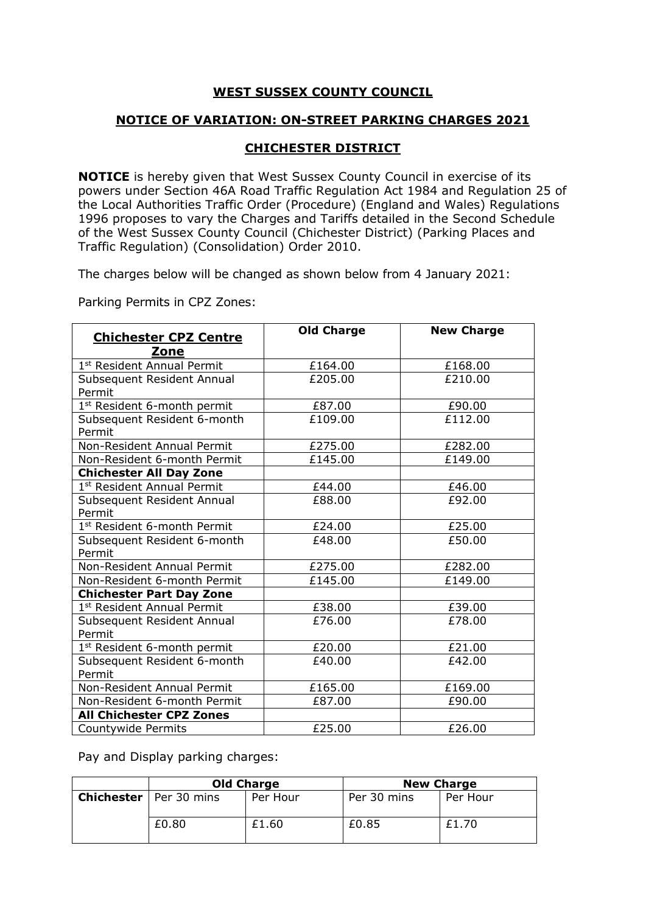## **WEST SUSSEX COUNTY COUNCIL**

## **NOTICE OF VARIATION: ON-STREET PARKING CHARGES 2021**

## **CHICHESTER DISTRICT**

**NOTICE** is hereby given that West Sussex County Council in exercise of its powers under Section 46A Road Traffic Regulation Act 1984 and Regulation 25 of the Local Authorities Traffic Order (Procedure) (England and Wales) Regulations 1996 proposes to vary the Charges and Tariffs detailed in the Second Schedule of the West Sussex County Council (Chichester District) (Parking Places and Traffic Regulation) (Consolidation) Order 2010.

The charges below will be changed as shown below from 4 January 2021:

Parking Permits in CPZ Zones:

| <b>Chichester CPZ Centre</b><br>Zone   | <b>Old Charge</b> | <b>New Charge</b> |
|----------------------------------------|-------------------|-------------------|
| 1 <sup>st</sup> Resident Annual Permit | £164.00           | £168.00           |
| Subsequent Resident Annual<br>Permit   | £205.00           | £210.00           |
| 1st Resident 6-month permit            | £87.00            | £90.00            |
| Subsequent Resident 6-month<br>Permit  | £109.00           | £112.00           |
| Non-Resident Annual Permit             | £275.00           | £282.00           |
| Non-Resident 6-month Permit            | £145.00           | £149.00           |
| <b>Chichester All Day Zone</b>         |                   |                   |
| 1st Resident Annual Permit             | £44.00            | £46.00            |
| Subsequent Resident Annual<br>Permit   | £88.00            | £92.00            |
| 1st Resident 6-month Permit            | £24.00            | £25.00            |
| Subsequent Resident 6-month<br>Permit  | £48.00            | £50.00            |
| Non-Resident Annual Permit             | £275.00           | £282.00           |
| Non-Resident 6-month Permit            | £145.00           | £149.00           |
| <b>Chichester Part Day Zone</b>        |                   |                   |
| 1 <sup>st</sup> Resident Annual Permit | £38.00            | £39.00            |
| Subsequent Resident Annual<br>Permit   | £76.00            | £78.00            |
| 1st Resident 6-month permit            | £20.00            | £21.00            |
| Subsequent Resident 6-month<br>Permit  | £40.00            | £42.00            |
| Non-Resident Annual Permit             | £165.00           | £169.00           |
| Non-Resident 6-month Permit            | £87.00            | £90.00            |
| <b>All Chichester CPZ Zones</b>        |                   |                   |
| Countywide Permits                     | £25.00            | £26.00            |

Pay and Display parking charges:

| <b>Old Charge</b>               |          | <b>New Charge</b> |          |
|---------------------------------|----------|-------------------|----------|
| <b>Chichester</b>   Per 30 mins | Per Hour | Per 30 mins       | Per Hour |
| £0.80                           | £1.60    | £0.85             | £1.70    |